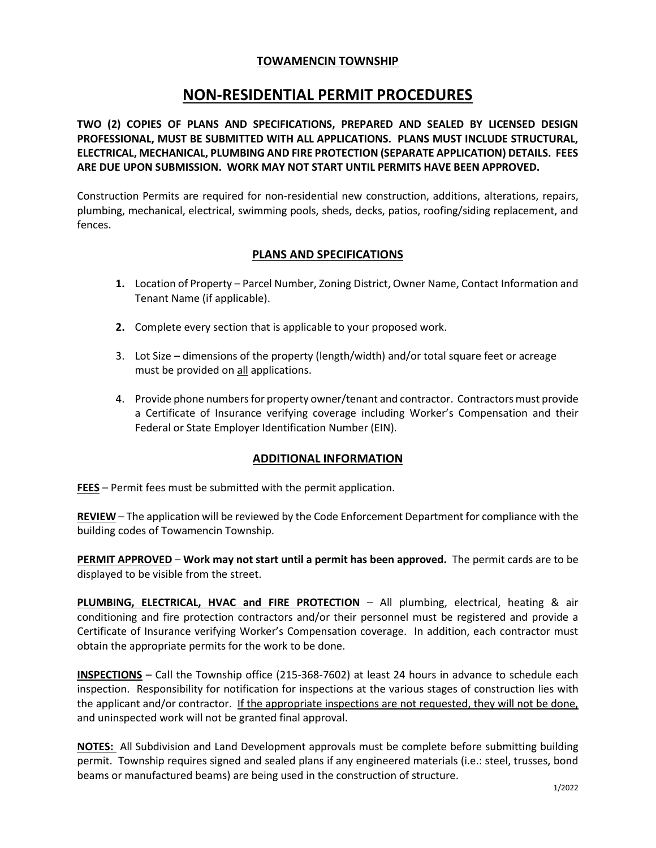### **TOWAMENCIN TOWNSHIP**

# **NON-RESIDENTIAL PERMIT PROCEDURES**

**TWO (2) COPIES OF PLANS AND SPECIFICATIONS, PREPARED AND SEALED BY LICENSED DESIGN PROFESSIONAL, MUST BE SUBMITTED WITH ALL APPLICATIONS. PLANS MUST INCLUDE STRUCTURAL, ELECTRICAL, MECHANICAL, PLUMBING AND FIRE PROTECTION (SEPARATE APPLICATION) DETAILS. FEES ARE DUE UPON SUBMISSION. WORK MAY NOT START UNTIL PERMITS HAVE BEEN APPROVED.**

Construction Permits are required for non-residential new construction, additions, alterations, repairs, plumbing, mechanical, electrical, swimming pools, sheds, decks, patios, roofing/siding replacement, and fences.

#### **PLANS AND SPECIFICATIONS**

- **1.** Location of Property Parcel Number, Zoning District, Owner Name, Contact Information and Tenant Name (if applicable).
- **2.** Complete every section that is applicable to your proposed work.
- 3. Lot Size dimensions of the property (length/width) and/or total square feet or acreage must be provided on all applications.
- 4. Provide phone numbers for property owner/tenant and contractor. Contractors must provide a Certificate of Insurance verifying coverage including Worker's Compensation and their Federal or State Employer Identification Number (EIN).

#### **ADDITIONAL INFORMATION**

**FEES** – Permit fees must be submitted with the permit application.

**REVIEW** – The application will be reviewed by the Code Enforcement Department for compliance with the building codes of Towamencin Township.

**PERMIT APPROVED** – **Work may not start until a permit has been approved.** The permit cards are to be displayed to be visible from the street.

**PLUMBING, ELECTRICAL, HVAC and FIRE PROTECTION** – All plumbing, electrical, heating & air conditioning and fire protection contractors and/or their personnel must be registered and provide a Certificate of Insurance verifying Worker's Compensation coverage. In addition, each contractor must obtain the appropriate permits for the work to be done.

**INSPECTIONS** – Call the Township office (215-368-7602) at least 24 hours in advance to schedule each inspection. Responsibility for notification for inspections at the various stages of construction lies with the applicant and/or contractor. If the appropriate inspections are not requested, they will not be done, and uninspected work will not be granted final approval.

**NOTES:** All Subdivision and Land Development approvals must be complete before submitting building permit. Township requires signed and sealed plans if any engineered materials (i.e.: steel, trusses, bond beams or manufactured beams) are being used in the construction of structure.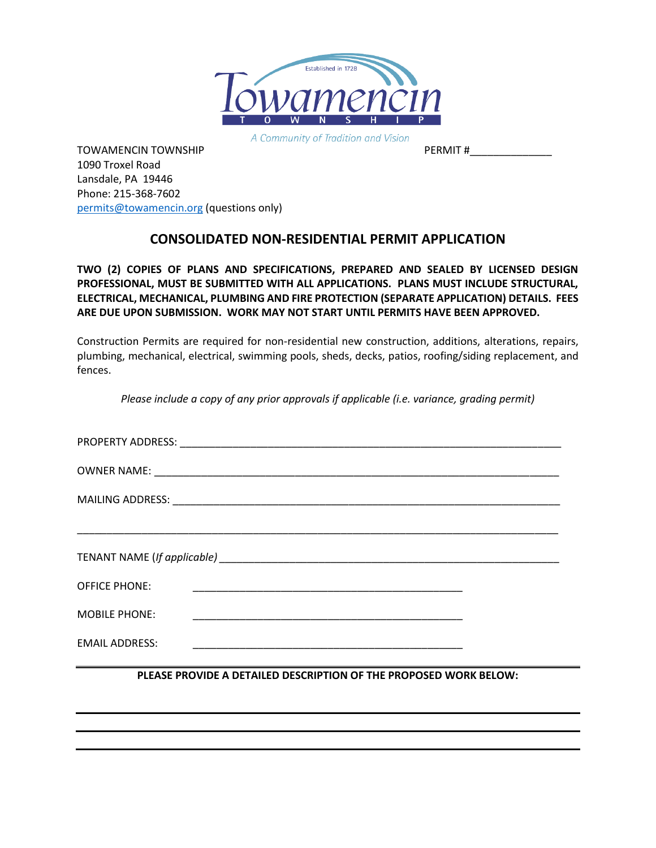

A Community of Tradition and Vision

TOWAMENCIN TOWNSHIP TO THE RESERVE TOWAMENCIN TOWNSHIP 1090 Troxel Road Lansdale, PA 19446 Phone: 215-368-7602 [permits@towamencin.org](mailto:permits@towamencin.org) (questions only)

## **CONSOLIDATED NON-RESIDENTIAL PERMIT APPLICATION**

**TWO (2) COPIES OF PLANS AND SPECIFICATIONS, PREPARED AND SEALED BY LICENSED DESIGN PROFESSIONAL, MUST BE SUBMITTED WITH ALL APPLICATIONS. PLANS MUST INCLUDE STRUCTURAL, ELECTRICAL, MECHANICAL, PLUMBING AND FIRE PROTECTION (SEPARATE APPLICATION) DETAILS. FEES ARE DUE UPON SUBMISSION. WORK MAY NOT START UNTIL PERMITS HAVE BEEN APPROVED.**

Construction Permits are required for non-residential new construction, additions, alterations, repairs, plumbing, mechanical, electrical, swimming pools, sheds, decks, patios, roofing/siding replacement, and fences.

*Please include a copy of any prior approvals if applicable (i.e. variance, grading permit)*

| <b>OFFICE PHONE:</b>  |                                                       |  |
|-----------------------|-------------------------------------------------------|--|
| <b>MOBILE PHONE:</b>  |                                                       |  |
| <b>EMAIL ADDRESS:</b> | <u> 1980 - Johann Stein, fransk politik (f. 1980)</u> |  |

**PLEASE PROVIDE A DETAILED DESCRIPTION OF THE PROPOSED WORK BELOW:**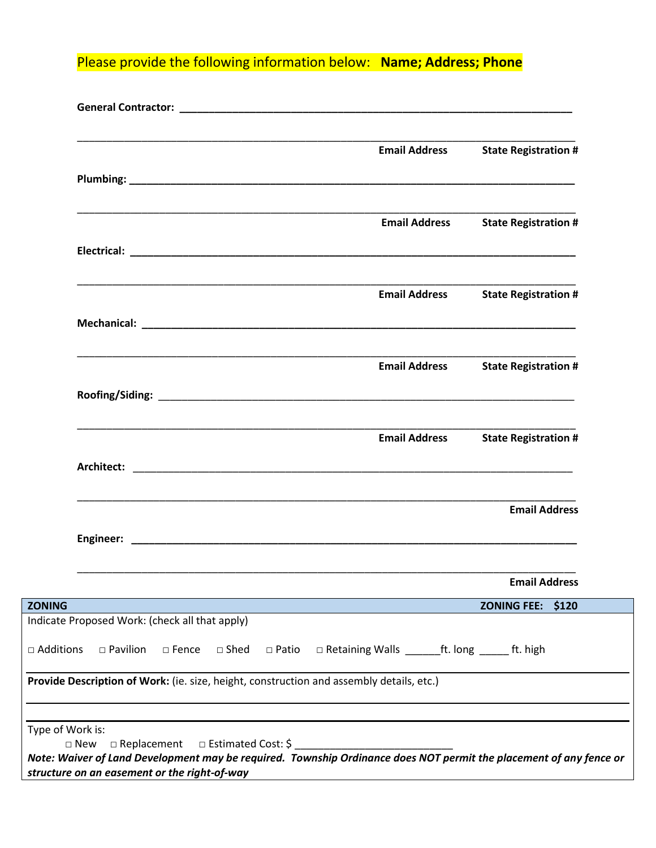Please provide the following information below: **Name; Address; Phone**

|                                                                                                                                                                                   | <b>Email Address</b>                                            | <b>State Registration #</b> |
|-----------------------------------------------------------------------------------------------------------------------------------------------------------------------------------|-----------------------------------------------------------------|-----------------------------|
|                                                                                                                                                                                   |                                                                 |                             |
|                                                                                                                                                                                   | <b>Email Address</b>                                            | <b>State Registration #</b> |
|                                                                                                                                                                                   |                                                                 |                             |
| <u> 1989 - Johann John Stoff, deutscher Stoffen und der Stoffen und der Stoffen und der Stoffen und der Stoffen u</u>                                                             | <b>Email Address</b>                                            | <b>State Registration #</b> |
|                                                                                                                                                                                   |                                                                 |                             |
|                                                                                                                                                                                   | <b>Email Address</b>                                            | <b>State Registration #</b> |
|                                                                                                                                                                                   |                                                                 |                             |
|                                                                                                                                                                                   | <b>Email Address</b>                                            | <b>State Registration #</b> |
|                                                                                                                                                                                   |                                                                 |                             |
|                                                                                                                                                                                   |                                                                 | <b>Email Address</b>        |
|                                                                                                                                                                                   |                                                                 |                             |
|                                                                                                                                                                                   |                                                                 | <b>Email Address</b>        |
| <b>ZONING</b>                                                                                                                                                                     |                                                                 | ZONING FEE: \$120           |
| Indicate Proposed Work: (check all that apply)                                                                                                                                    |                                                                 |                             |
| $\square$ Pavilion<br>□ Additions<br>□ Shed<br>$\square$ Fence                                                                                                                    | □ Retaining Walls ________ ft. long _______ ft. high<br>□ Patio |                             |
| Provide Description of Work: (ie. size, height, construction and assembly details, etc.)                                                                                          |                                                                 |                             |
| Type of Work is:                                                                                                                                                                  |                                                                 |                             |
| □ Estimated Cost: \$<br>$\square$ New<br>$\Box$ Replacement<br>Note: Waiver of Land Development may be required. Township Ordinance does NOT permit the placement of any fence or |                                                                 |                             |
| structure on an easement or the right-of-way                                                                                                                                      |                                                                 |                             |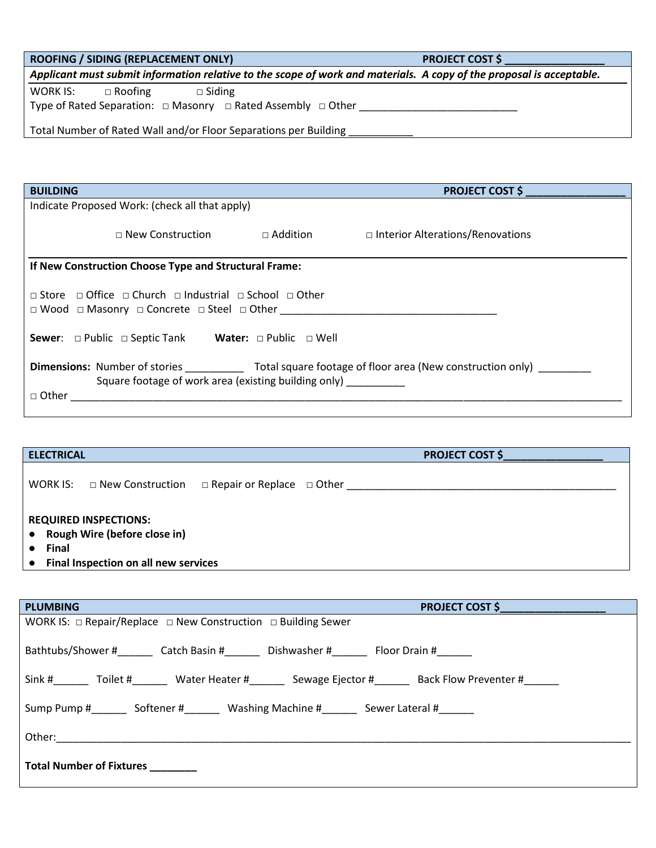| ROOFING / SIDING (REPLACEMENT ONLY) |
|-------------------------------------|
|-------------------------------------|

**PROJECT COST \$** 

*Applicant must submit information relative to the scope of work and materials. A copy of the proposal is acceptable.*

WORK IS: □ Roofing □ Siding

Type of Rated Separation: □ Masonry □ Rated Assembly □ Other \_\_\_\_\_\_\_\_\_\_\_\_\_\_\_\_\_\_\_

Total Number of Rated Wall and/or Floor Separations per Building \_\_\_\_\_\_\_\_\_\_\_\_\_\_\_

| <b>BUILDING</b>                                                                                                                                                                                                       |                 | <b>PROJECT COST \$</b>                  |  |
|-----------------------------------------------------------------------------------------------------------------------------------------------------------------------------------------------------------------------|-----------------|-----------------------------------------|--|
| Indicate Proposed Work: (check all that apply)                                                                                                                                                                        |                 |                                         |  |
| $\Box$ New Construction                                                                                                                                                                                               | $\Box$ Addition | $\Box$ Interior Alterations/Renovations |  |
| If New Construction Choose Type and Structural Frame:                                                                                                                                                                 |                 |                                         |  |
| $\Box$ Store $\Box$ Office $\Box$ Church $\Box$ Industrial $\Box$ School $\Box$ Other<br>$\Box$ Wood $\Box$ Masonry $\Box$ Concrete $\Box$ Steel $\Box$ Other<br>Sewer: □ Public □ Septic Tank Water: □ Public □ Well |                 |                                         |  |
| <b>Dimensions:</b> Number of stories <b>Example 20</b> Total square footage of floor area (New construction only)<br>Square footage of work area (existing building only)<br>$\Box$ Other                             |                 |                                         |  |

| <b>ELECTRICAL</b> |                                                              |                                       | <b>PROJECT COST \$</b> |
|-------------------|--------------------------------------------------------------|---------------------------------------|------------------------|
| WORK IS:          | □ New Construction                                           | $\Box$ Repair or Replace $\Box$ Other |                        |
| $\bullet$         | <b>REQUIRED INSPECTIONS:</b><br>Rough Wire (before close in) |                                       |                        |
| <b>Final</b>      | Final Inspection on all new services                         |                                       |                        |

| <b>PLUMBING</b><br>PROJECT COST \$                                           |  |  |  |
|------------------------------------------------------------------------------|--|--|--|
| WORK IS: $\Box$ Repair/Replace $\Box$ New Construction $\Box$ Building Sewer |  |  |  |
| Bathtubs/Shower # Catch Basin # Dishwasher # Floor Drain #                   |  |  |  |
| Sink # Toilet # Water Heater # Sewage Ejector # Back Flow Preventer #        |  |  |  |
| Sump Pump # 50 Softener # Washing Machine # Sewer Lateral #                  |  |  |  |
|                                                                              |  |  |  |
| <b>Total Number of Fixtures</b>                                              |  |  |  |